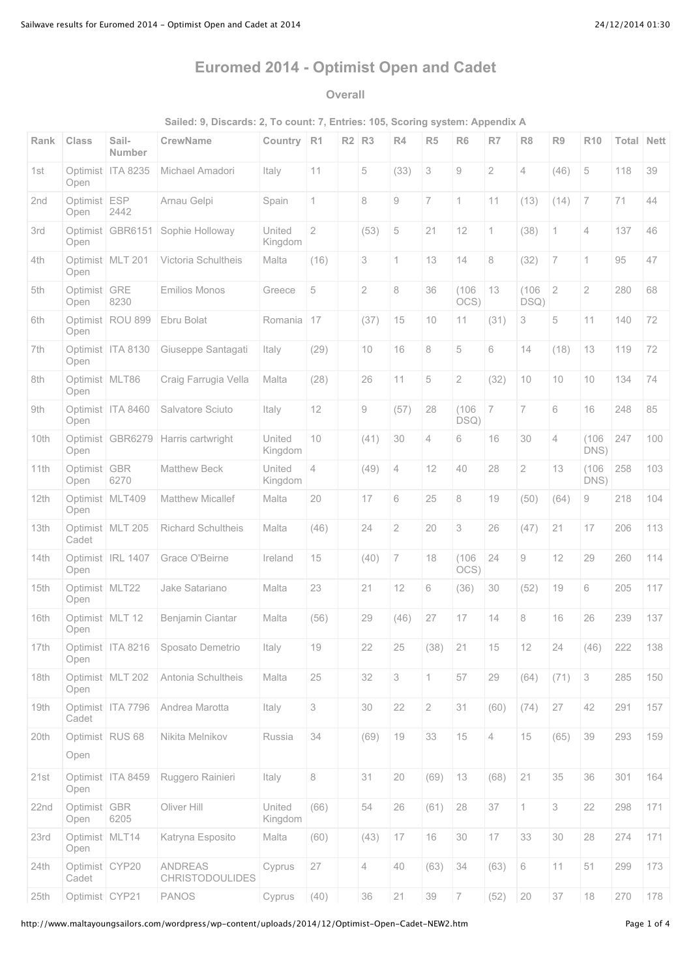# **Euromed 2014 - Optimist Open and Cadet**

### **Overall**

**Sailed: 9, Discards: 2, To count: 7, Entries: 105, Scoring system: Appendix A**

| Rank | <b>Class</b>            | Sail-<br>Number     | <b>CrewName</b>                          | Country           | R <sub>1</sub> | R2 | R3           | R <sub>4</sub> | R <sub>5</sub> | R <sub>6</sub> | R7             | R <sub>8</sub> | R9             | <b>R10</b>            | Total | <b>Nett</b> |
|------|-------------------------|---------------------|------------------------------------------|-------------------|----------------|----|--------------|----------------|----------------|----------------|----------------|----------------|----------------|-----------------------|-------|-------------|
| 1st  | Optimist<br>Open        | <b>ITA 8235</b>     | Michael Amadori                          | Italy             | 11             |    | 5            | (33)           | 3              | 9              | 2              | 4              | (46)           | 5                     | 118   | 39          |
| 2nd  | Optimist ESP<br>Open    | 2442                | Arnau Gelpi                              | Spain             | $\mathbf 1$    |    | 8            | 9              | $\overline{7}$ | 1              | 11             | (13)           | (14)           | $\overline{7}$        | 71    | 44          |
| 3rd  | Optimist<br>Open        | GBR6151             | Sophie Holloway                          | United<br>Kingdom | $\overline{2}$ |    | (53)         | 5              | 21             | 12             | 1              | (38)           | 1              | $\overline{4}$        | 137   | 46          |
| 4th  | Open                    | Optimist   MLT 201  | Victoria Schultheis                      | Malta             | (16)           |    | 3            | 1              | 13             | 14             | 8              | (32)           | $\overline{7}$ | $\mathbf 1$           | 95    | 47          |
| 5th  | Optimist<br>Open        | <b>GRE</b><br>8230  | <b>Emilios Monos</b>                     | Greece            | 5              |    | $\mathbf{2}$ | 8              | 36             | (106)<br>OCS)  | 13             | (106)<br>DSQ)  | $\overline{2}$ | $\mathbf{2}^{\prime}$ | 280   | 68          |
| 6th  | Open                    | Optimist ROU 899    | Ebru Bolat                               | Romania           | 17             |    | (37)         | 15             | 10             | 11             | (31)           | 3              | 5              | 11                    | 140   | 72          |
| 7th  | Open                    | Optimist   ITA 8130 | Giuseppe Santagati                       | Italy             | (29)           |    | 10           | 16             | 8              | 5              | 6              | 14             | (18)           | 13                    | 119   | 72          |
| 8th  | Optimist MLT86<br>Open  |                     | Craig Farrugia Vella                     | Malta             | (28)           |    | 26           | 11             | 5              | 2              | (32)           | 10             | 10             | 10                    | 134   | 74          |
| 9th  | Open                    | Optimist   ITA 8460 | Salvatore Sciuto                         | Italy             | 12             |    | 9            | (57)           | 28             | (106)<br>DSQ)  | $\overline{7}$ | $\overline{7}$ | 6              | 16                    | 248   | 85          |
| 10th | Optimist<br>Open        | GBR6279             | Harris cartwright                        | United<br>Kingdom | 10             |    | (41)         | 30             | $\overline{4}$ | 6              | 16             | 30             | $\overline{4}$ | (106)<br>DNS)         | 247   | 100         |
| 11th | Optimist GBR<br>Open    | 6270                | <b>Matthew Beck</b>                      | United<br>Kingdom | 4              |    | (49)         | 4              | 12             | 40             | 28             | $\overline{2}$ | 13             | (106)<br>DNS)         | 258   | 103         |
| 12th | Open                    | Optimist MLT409     | <b>Matthew Micallef</b>                  | Malta             | 20             |    | 17           | 6              | 25             | 8              | 19             | (50)           | (64)           | 9                     | 218   | 104         |
| 13th | Cadet                   | Optimist MLT 205    | Richard Schultheis                       | Malta             | (46)           |    | 24           | $\overline{2}$ | 20             | 3              | 26             | (47)           | 21             | 17                    | 206   | 113         |
| 14th | Open                    | Optimist   IRL 1407 | Grace O'Beirne                           | Ireland           | 15             |    | (40)         | $\overline{7}$ | 18             | (106)<br>OCS)  | 24             | 9              | 12             | 29                    | 260   | 114         |
| 15th | Optimist MLT22<br>Open  |                     | Jake Satariano                           | Malta             | 23             |    | 21           | 12             | 6              | (36)           | 30             | (52)           | 19             | 6                     | 205   | 117         |
| 16th | Open                    | Optimist MLT 12     | Benjamin Ciantar                         | Malta             | (56)           |    | 29           | (46)           | 27             | 17             | 14             | 8              | 16             | 26                    | 239   | 137         |
| 17th | Open                    | Optimist   ITA 8216 | Sposato Demetrio                         | Italy             | 19             |    | 22           | 25             | (38)           | 21             | 15             | 12             | 24             | (46)                  | 222   | 138         |
| 18th | Open                    | Optimist MLT 202    | Antonia Schultheis                       | Malta             | 25             |    | 32           | 3              | 1              | 57             | 29             | (64)           | (71)           | 3                     | 285   | 150         |
| 19th | Cadet                   | Optimist ITA 7796   | Andrea Marotta                           | Italy             | 3              |    | 30           | 22             | $\overline{2}$ | 31             | (60)           | (74)           | 27             | 42                    | 291   | 157         |
| 20th | Open                    | Optimist RUS 68     | Nikita Melnikov                          | Russia            | 34             |    | (69)         | 19             | 33             | 15             | $\overline{4}$ | 15             | (65)           | 39                    | 293   | 159         |
| 21st | Open                    | Optimist ITA 8459   | Ruggero Rainieri                         | Italy             | $\,8\,$        |    | 31           | 20             | (69)           | 13             | (68)           | 21             | 35             | 36                    | 301   | 164         |
| 22nd | Optimist GBR<br>Open    | 6205                | Oliver Hill                              | United<br>Kingdom | (66)           |    | 54           | 26             | (61)           | 28             | 37             | $\mathbf 1$    | 3              | 22                    | 298   | 171         |
| 23rd | Optimist MLT14<br>Open  |                     | Katryna Esposito                         | Malta             | (60)           |    | (43)         | 17             | 16             | 30             | 17             | 33             | 30             | 28                    | 274   | 171         |
| 24th | Optimist CYP20<br>Cadet |                     | <b>ANDREAS</b><br><b>CHRISTODOULIDES</b> | Cyprus            | 27             |    | 4            | 40             | (63)           | 34             | (63)           | 6              | 11             | 51                    | 299   | 173         |
| 25th | Optimist CYP21          |                     | <b>PANOS</b>                             | Cyprus            | (40)           |    | 36           | 21             | 39             | $\overline{7}$ | (52)           | 20             | 37             | $18\,$                | 270   | 178         |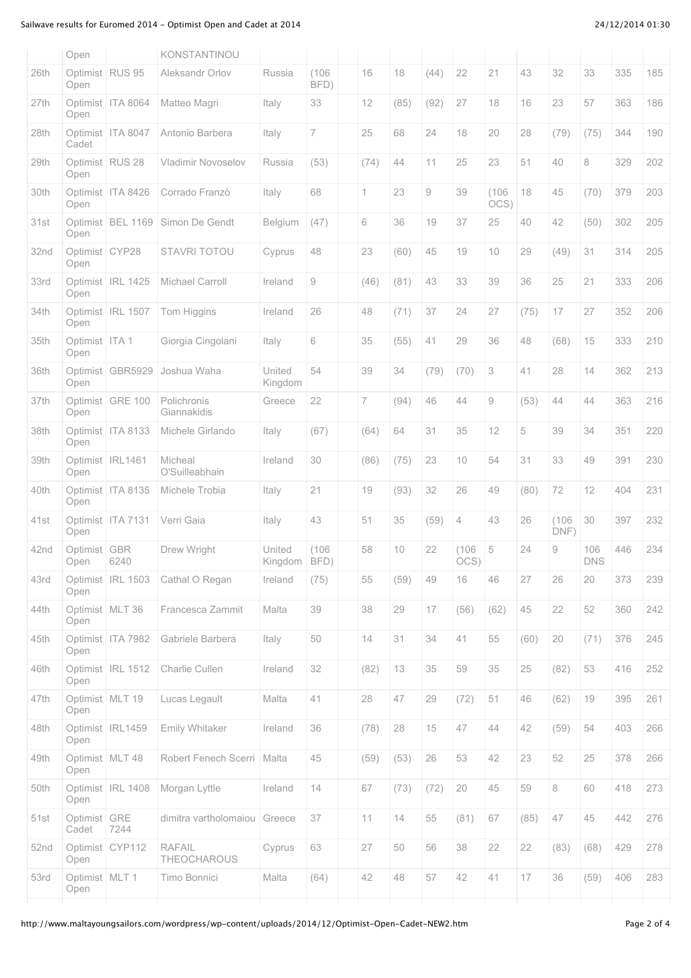## Sailwave results for Euromed 2014 - Optimist Open and Cadet at 2014 24/12/2014 24/12/2014 01:30

|      | Open                      |                     | KONSTANTINOU                 |                   |                |      |      |      |               |                         |      |               |                   |     |     |
|------|---------------------------|---------------------|------------------------------|-------------------|----------------|------|------|------|---------------|-------------------------|------|---------------|-------------------|-----|-----|
| 26th | Optimist RUS 95<br>Open   |                     | Aleksandr Orlov              | Russia            | (106)<br>BFD)  | 16   | 18   | (44) | 22            | 21                      | 43   | 32            | 33                | 335 | 185 |
| 27th | Open                      | Optimist   ITA 8064 | Matteo Magri                 | Italy             | 33             | 12   | (85) | (92) | 27            | 18                      | 16   | 23            | 57                | 363 | 186 |
| 28th | Cadet                     | Optimist   ITA 8047 | Antonio Barbera              | Italy             | $\overline{7}$ | 25   | 68   | 24   | 18            | 20                      | 28   | (79)          | (75)              | 344 | 190 |
| 29th | Optimist   RUS 28<br>Open |                     | <b>Vladimir Novoselov</b>    | Russia            | (53)           | (74) | 44   | 11   | 25            | 23                      | 51   | 40            | 8                 | 329 | 202 |
| 30th | Open                      | Optimist   ITA 8426 | Corrado Franzò               | Italy             | 68             | 1    | 23   | 9    | 39            | (106)<br>OCS            | 18   | 45            | (70)              | 379 | 203 |
| 31st | Open                      | Optimist BEL 1169   | Simon De Gendt               | Belgium           | (47)           | 6    | 36   | 19   | 37            | 25                      | 40   | 42            | (50)              | 302 | 205 |
| 32nd | Optimist CYP28<br>Open    |                     | STAVRI TOTOU                 | Cyprus            | 48             | 23   | (60) | 45   | 19            | 10                      | 29   | (49)          | 31                | 314 | 205 |
| 33rd | Open                      | Optimist   IRL 1425 | Michael Carroll              | Ireland           | 9              | (46) | (81) | 43   | 33            | 39                      | 36   | 25            | 21                | 333 | 206 |
| 34th | Open                      | Optimist IRL 1507   | Tom Higgins                  | Ireland           | 26             | 48   | (71) | 37   | 24            | 27                      | (75) | 17            | 27                | 352 | 206 |
| 35th | Optimist ITA 1<br>Open    |                     | Giorgia Cingolani            | Italy             | 6              | 35   | (55) | 41   | 29            | 36                      | 48   | (68)          | 15                | 333 | 210 |
| 36th | Open                      | Optimist GBR5929    | Joshua Waha                  | United<br>Kingdom | 54             | 39   | 34   | (79) | (70)          | 3                       | 41   | 28            | 14                | 362 | 213 |
| 37th | Open                      | Optimist GRE 100    | Polichronis<br>Giannakidis   | Greece            | 22             | 7    | (94) | 46   | 44            | $\mathrel{\mathcal{G}}$ | (53) | 44            | 44                | 363 | 216 |
| 38th | Open                      | Optimist ITA 8133   | Michele Girlando             | Italy             | (67)           | (64) | 64   | 31   | 35            | 12                      | 5    | 39            | 34                | 351 | 220 |
| 39th | Open                      | Optimist   IRL1461  | Micheal<br>O'Suilleabhain    | Ireland           | 30             | (86) | (75) | 23   | 10            | 54                      | 31   | 33            | 49                | 391 | 230 |
| 40th | Open                      | Optimist   ITA 8135 | Michele Trobia               | Italy             | 21             | 19   | (93) | 32   | 26            | 49                      | (80) | 72            | 12                | 404 | 231 |
| 41st | Open                      | Optimist ITA 7131   | Verri Gaia                   | Italy             | 43             | 51   | 35   | (59) | 4             | 43                      | 26   | (106)<br>DNF) | 30                | 397 | 232 |
| 42nd | Optimist<br>Open          | <b>GBR</b><br>6240  | Drew Wright                  | United<br>Kingdom | (106)<br>BFD)  | 58   | 10   | 22   | (106)<br>OCS) | 5                       | 24   | 9             | 106<br><b>DNS</b> | 446 | 234 |
| 43rd | Open                      | Optimist   IRL 1503 | Cathal O Regan               | Ireland           | (75)           | 55   | (59) | 49   | 16            | 46                      | 27   | 26            | 20                | 373 | 239 |
| 44th | Optimist MLT 36<br>Open   |                     | Francesca Zammit             | Malta             | 39             | 38   | 29   | 17   | (56)          | (62)                    | 45   | 22            | 52                | 360 | 242 |
| 45th | Open                      | Optimist ITA 7982   | Gabriele Barbera             | Italy             | 50             | 14   | 31   | 34   | 41            | 55                      | (60) | $20\,$        | (71)              | 376 | 245 |
| 46th | Open                      | Optimist IRL 1512   | Charlie Cullen               | Ireland           | 32             | (82) | 13   | 35   | 59            | 35                      | 25   | (82)          | 53                | 416 | 252 |
| 47th | Optimist MLT 19<br>Open   |                     | Lucas Legault                | Malta             | 41             | 28   | 47   | 29   | (72)          | 51                      | 46   | (62)          | $19$              | 395 | 261 |
| 48th | Open                      | Optimist IRL1459    | Emily Whitaker               | Ireland           | 36             | (78) | 28   | 15   | 47            | 44                      | 42   | (59)          | 54                | 403 | 266 |
| 49th | Optimist MLT 48<br>Open   |                     | Robert Fenech Scerri         | Malta             | 45             | (59) | (53) | 26   | 53            | 42                      | 23   | 52            | 25                | 378 | 266 |
| 50th | Open                      | Optimist IRL 1408   | Morgan Lyttle                | Ireland           | 14             | 67   | (73) | (72) | 20            | 45                      | 59   | $\,8\,$       | 60                | 418 | 273 |
| 51st | Optimist GRE<br>Cadet     | 7244                | dimitra vartholomaiou        | Greece            | 37             | 11   | 14   | 55   | (81)          | 67                      | (85) | 47            | 45                | 442 | 276 |
| 52nd | Open                      | Optimist CYP112     | <b>RAFAIL</b><br>THEOCHAROUS | Cyprus            | 63             | 27   | 50   | 56   | 38            | 22                      | 22   | (83)          | (68)              | 429 | 278 |
|      |                           |                     |                              |                   |                |      |      |      |               |                         |      |               |                   |     |     |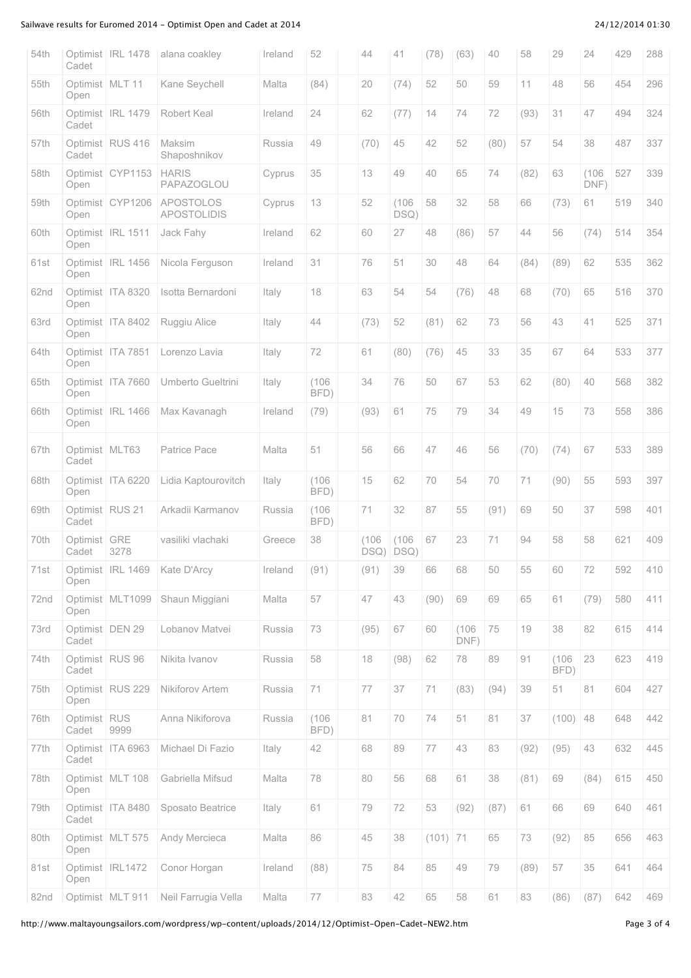## Sailwave results for Euromed 2014 - Optimist Open and Cadet at 2014 24/12/2014 24/12/2014 01:30

| 54th | Cadet                     | Optimist   IRL 1478 | alana coakley                          | Ireland | 52            | 44    | 41                     | (78)       | (63)          | 40   | 58   | 29            | 24            | 429 | 288 |
|------|---------------------------|---------------------|----------------------------------------|---------|---------------|-------|------------------------|------------|---------------|------|------|---------------|---------------|-----|-----|
| 55th | Open                      | Optimist MLT 11     | Kane Seychell                          | Malta   | (84)          | 20    | (74)                   | 52         | 50            | 59   | 11   | 48            | 56            | 454 | 296 |
| 56th | Cadet                     | Optimist IRL 1479   | Robert Keal                            | Ireland | 24            | 62    | (77)                   | 14         | 74            | 72   | (93) | 31            | 47            | 494 | 324 |
| 57th | Cadet                     | Optimist RUS 416    | Maksim<br>Shaposhnikov                 | Russia  | 49            | (70)  | 45                     | 42         | 52            | (80) | 57   | 54            | 38            | 487 | 337 |
| 58th | Open                      | Optimist CYP1153    | <b>HARIS</b><br>PAPAZOGLOU             | Cyprus  | 35            | 13    | 49                     | 40         | 65            | 74   | (82) | 63            | (106)<br>DNF) | 527 | 339 |
| 59th | Open                      | Optimist CYP1206    | <b>APOSTOLOS</b><br><b>APOSTOLIDIS</b> | Cyprus  | 13            | 52    | (106)<br>DSQ)          | 58         | 32            | 58   | 66   | (73)          | 61            | 519 | 340 |
| 60th | Open                      | Optimist IRL 1511   | Jack Fahy                              | Ireland | 62            | 60    | 27                     | 48         | (86)          | 57   | 44   | 56            | (74)          | 514 | 354 |
| 61st | Open                      | Optimist IRL 1456   | Nicola Ferguson                        | Ireland | 31            | 76    | 51                     | 30         | 48            | 64   | (84) | (89)          | 62            | 535 | 362 |
| 62nd | Open                      | Optimist ITA 8320   | Isotta Bernardoni                      | Italy   | 18            | 63    | 54                     | 54         | (76)          | 48   | 68   | (70)          | 65            | 516 | 370 |
| 63rd | Open                      | Optimist ITA 8402   | Ruggiu Alice                           | Italy   | 44            | (73)  | 52                     | (81)       | 62            | 73   | 56   | 43            | 41            | 525 | 371 |
| 64th | Open                      | Optimist ITA 7851   | Lorenzo Lavia                          | Italy   | 72            | 61    | (80)                   | (76)       | 45            | 33   | 35   | 67            | 64            | 533 | 377 |
| 65th | Open                      | Optimist   ITA 7660 | Umberto Gueltrini                      | Italy   | (106)<br>BFD) | 34    | 76                     | 50         | 67            | 53   | 62   | (80)          | 40            | 568 | 382 |
| 66th | Open                      | Optimist   IRL 1466 | Max Kavanagh                           | Ireland | (79)          | (93)  | 61                     | 75         | 79            | 34   | 49   | 15            | 73            | 558 | 386 |
| 67th | Optimist   MLT63<br>Cadet |                     | Patrice Pace                           | Malta   | 51            | 56    | 66                     | 47         | 46            | 56   | (70) | (74)          | 67            | 533 | 389 |
| 68th | Open                      | Optimist ITA 6220   | Lidia Kaptourovitch                    | Italy   | (106)<br>BFD) | 15    | 62                     | 70         | 54            | 70   | 71   | (90)          | 55            | 593 | 397 |
| 69th | Cadet                     | Optimist RUS 21     | Arkadii Karmanov                       | Russia  | (106)<br>BFD) | 71    | 32                     | 87         | 55            | (91) | 69   | 50            | 37            | 598 | 401 |
| 70th | Optimist<br>Cadet         | GRE<br>3278         | vasiliki vlachaki                      | Greece  | 38            | (106) | (106)<br>$DSQ)$ $DSQ)$ | 67         | 23            | 71   | 94   | 58            | 58            | 621 | 409 |
| 71st | Open                      | Optimist IRL 1469   | Kate D'Arcy                            | Ireland | (91)          | (91)  | 39                     | 66         | 68            | 50   | 55   | 60            | 72            | 592 | 410 |
| 72nd | Open                      | Optimist MLT1099    | Shaun Miggiani                         | Malta   | 57            | 47    | 43                     | (90)       | 69            | 69   | 65   | 61            | (79)          | 580 | 411 |
| 73rd | Cadet                     | Optimist DEN 29     | Lobanov Matvei                         | Russia  | 73            | (95)  | 67                     | 60         | (106)<br>DNF) | 75   | 19   | 38            | 82            | 615 | 414 |
| 74th | Cadet                     | Optimist RUS 96     | Nikita Ivanov                          | Russia  | 58            | 18    | (98)                   | 62         | 78            | 89   | 91   | (106)<br>BFD) | 23            | 623 | 419 |
| 75th | Open                      | Optimist RUS 229    | Nikiforov Artem                        | Russia  | 71            | 77    | 37                     | 71         | (83)          | (94) | 39   | 51            | 81            | 604 | 427 |
| 76th | Optimist RUS<br>Cadet     | 9999                | Anna Nikiforova                        | Russia  | (106)<br>BFD) | 81    | 70                     | 74         | 51            | 81   | 37   | (100)         | 48            | 648 | 442 |
| 77th | Cadet                     | Optimist   ITA 6963 | Michael Di Fazio                       | Italy   | 42            | 68    | 89                     | 77         | 43            | 83   | (92) | (95)          | 43            | 632 | 445 |
| 78th | Open                      | Optimist MLT 108    | Gabriella Mifsud                       | Malta   | 78            | 80    | 56                     | 68         | 61            | 38   | (81) | 69            | (84)          | 615 | 450 |
| 79th | Cadet                     | Optimist ITA 8480   | Sposato Beatrice                       | Italy   | 61            | 79    | 72                     | 53         | (92)          | (87) | 61   | 66            | 69            | 640 | 461 |
| 80th | Open                      | Optimist MLT 575    | Andy Mercieca                          | Malta   | 86            | 45    | 38                     | $(101)$ 71 |               | 65   | 73   | (92)          | 85            | 656 | 463 |
| 81st | Open                      | Optimist IRL1472    | Conor Horgan                           | Ireland | (88)          | 75    | 84                     | 85         | 49            | 79   | (89) | 57            | 35            | 641 | 464 |
| 82nd |                           | Optimist MLT 911    | Neil Farrugia Vella                    | Malta   | 77            | 83    | 42                     | 65         | 58            | 61   | 83   | (86)          | (87)          | 642 | 469 |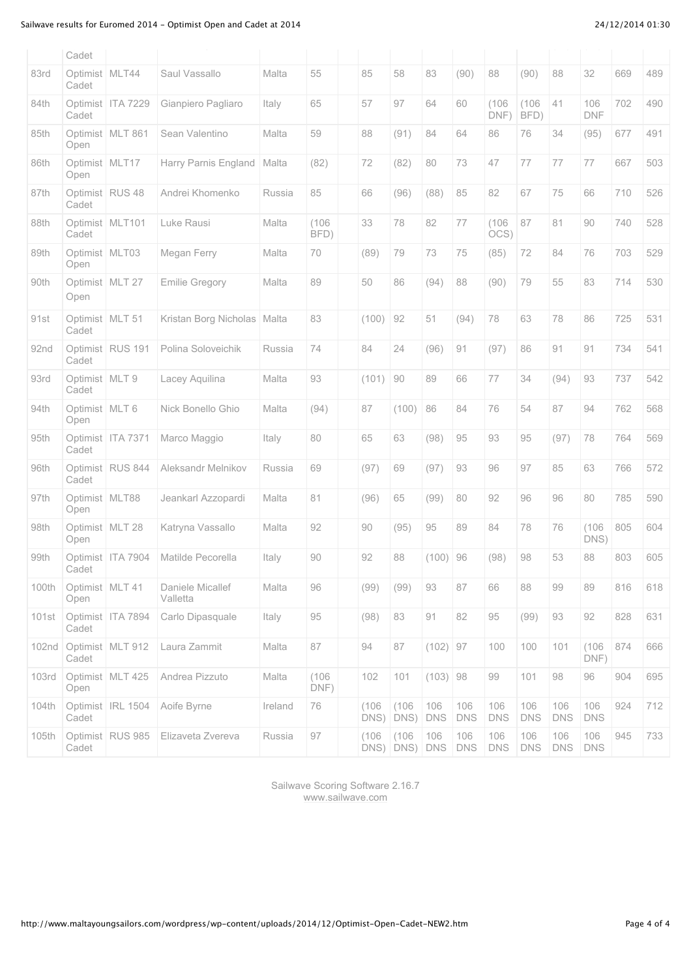## Sailwave results for Euromed 2014 - Optimist Open and Cadet at 2014 24/12/2014 24/12/2014 01:30

|       | Cadet                     |                     |                              |         |               |               |                        |                   |                   |                   |                   |                   |                   |     |     |
|-------|---------------------------|---------------------|------------------------------|---------|---------------|---------------|------------------------|-------------------|-------------------|-------------------|-------------------|-------------------|-------------------|-----|-----|
| 83rd  | Optimist MLT44<br>Cadet   |                     | Saul Vassallo                | Malta   | 55            | 85            | 58                     | 83                | (90)              | 88                | (90)              | 88                | 32                | 669 | 489 |
| 84th  | Cadet                     | Optimist   ITA 7229 | Gianpiero Pagliaro           | Italy   | 65            | 57            | 97                     | 64                | 60                | (106)<br>DNF)     | (106)<br>BFD)     | 41                | 106<br><b>DNF</b> | 702 | 490 |
| 85th  | Open                      | Optimist MLT 861    | Sean Valentino               | Malta   | 59            | 88            | (91)                   | 84                | 64                | 86                | 76                | 34                | (95)              | 677 | 491 |
| 86th  | Optimist MLT17<br>Open    |                     | Harry Parnis England         | Malta   | (82)          | 72            | (82)                   | 80                | 73                | 47                | 77                | 77                | 77                | 667 | 503 |
| 87th  | Optimist RUS 48<br>Cadet  |                     | Andrei Khomenko              | Russia  | 85            | 66            | (96)                   | (88)              | 85                | 82                | 67                | 75                | 66                | 710 | 526 |
| 88th  | Optimist MLT101<br>Cadet  |                     | Luke Rausi                   | Malta   | (106)<br>BFD) | 33            | 78                     | 82                | 77                | (106)<br>OCS)     | 87                | 81                | 90                | 740 | 528 |
| 89th  | Optimist MLT03<br>Open    |                     | Megan Ferry                  | Malta   | 70            | (89)          | 79                     | 73                | 75                | (85)              | 72                | 84                | 76                | 703 | 529 |
| 90th  | Optimist MLT 27<br>Open   |                     | <b>Emilie Gregory</b>        | Malta   | 89            | 50            | 86                     | (94)              | 88                | (90)              | 79                | 55                | 83                | 714 | 530 |
| 91st  | Optimist MLT 51<br>Cadet  |                     | Kristan Borg Nicholas        | Malta   | 83            | (100)         | 92                     | 51                | (94)              | 78                | 63                | 78                | 86                | 725 | 531 |
| 92nd  | Cadet                     | Optimist RUS 191    | Polina Soloveichik           | Russia  | 74            | 84            | 24                     | (96)              | 91                | (97)              | 86                | 91                | 91                | 734 | 541 |
| 93rd  | Optimist   MLT 9<br>Cadet |                     | Lacey Aquilina               | Malta   | 93            | (101)         | 90                     | 89                | 66                | 77                | 34                | (94)              | 93                | 737 | 542 |
| 94th  | Optimist   MLT 6<br>Open  |                     | Nick Bonello Ghio            | Malta   | (94)          | 87            | (100)                  | 86                | 84                | 76                | 54                | 87                | 94                | 762 | 568 |
| 95th  | Cadet                     | Optimist   ITA 7371 | Marco Maggio                 | Italy   | 80            | 65            | 63                     | (98)              | 95                | 93                | 95                | (97)              | 78                | 764 | 569 |
| 96th  | Cadet                     | Optimist RUS 844    | Aleksandr Melnikov           | Russia  | 69            | (97)          | 69                     | (97)              | 93                | 96                | 97                | 85                | 63                | 766 | 572 |
| 97th  | Optimist MLT88<br>Open    |                     | Jeankarl Azzopardi           | Malta   | 81            | (96)          | 65                     | (99)              | 80                | 92                | 96                | 96                | 80                | 785 | 590 |
| 98th  | Optimist MLT 28<br>Open   |                     | Katryna Vassallo             | Malta   | 92            | 90            | (95)                   | 95                | 89                | 84                | 78                | 76                | (106<br>DNS)      | 805 | 604 |
| 99th  | Cadet                     | Optimist   ITA 7904 | Matilde Pecorella            | Italy   | 90            | 92            | 88                     | (100)             | 96                | (98)              | 98                | 53                | 88                | 803 | 605 |
| 100th | Optimist   MLT 41<br>Open |                     | Daniele Micallef<br>Valletta | Malta   | 96            | (99)          | (99)                   | 93                | 87                | 66                | 88                | 99                | 89                | 816 | 618 |
| 101st | Cadet                     | Optimist ITA 7894   | Carlo Dipasquale             | Italy   | 95            | (98)          | 83                     | 91                | 82                | 95                | (99)              | 93                | 92                | 828 | 631 |
| 102nd | Cadet                     | Optimist MLT 912    | Laura Zammit                 | Malta   | 87            | 94            | 87                     | (102)             | 97                | 100               | 100               | 101               | (106)<br>DNF)     | 874 | 666 |
| 103rd | Open                      | Optimist   MLT 425  | Andrea Pizzuto               | Malta   | (106)<br>DNF) | 102           | 101                    | $(103)$ 98        |                   | 99                | 101               | 98                | 96                | 904 | 695 |
| 104th | Cadet                     | Optimist   IRL 1504 | Aoife Byrne                  | Ireland | 76            | (106)<br>DNS) | (106)<br>DNS)          | 106<br><b>DNS</b> | 106<br><b>DNS</b> | 106<br><b>DNS</b> | 106<br><b>DNS</b> | 106<br><b>DNS</b> | 106<br><b>DNS</b> | 924 | 712 |
| 105th | Cadet                     | Optimist   RUS 985  | Elizaveta Zvereva            | Russia  | 97            | (106)         | (106)<br>DNS) DNS) DNS | 106               | 106<br><b>DNS</b> | 106<br><b>DNS</b> | 106<br><b>DNS</b> | 106<br><b>DNS</b> | 106<br><b>DNS</b> | 945 | 733 |
|       |                           |                     |                              |         |               |               |                        |                   |                   |                   |                   |                   |                   |     |     |

Sailwave Scoring Software 2.16.7 [www.sailwave.com](http://www.sailwave.com/)